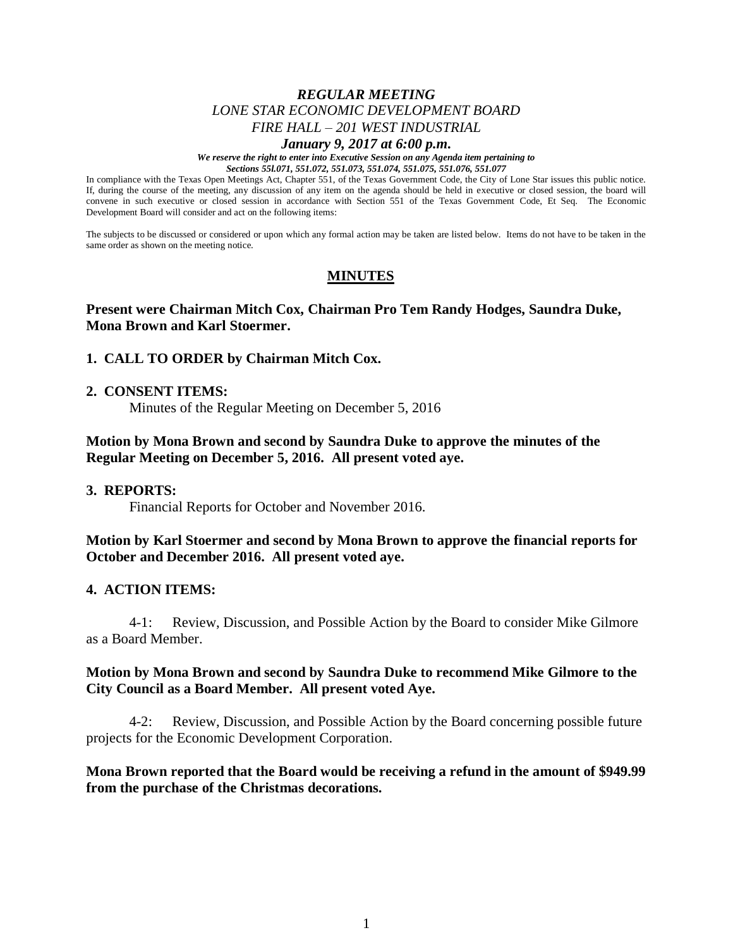## *REGULAR MEETING LONE STAR ECONOMIC DEVELOPMENT BOARD FIRE HALL – 201 WEST INDUSTRIAL*

#### *January 9, 2017 at 6:00 p.m.*

*We reserve the right to enter into Executive Session on any Agenda item pertaining to Sections 55l.071, 551.072, 551.073, 551.074, 551.075, 551.076, 551.077*

In compliance with the Texas Open Meetings Act, Chapter 551, of the Texas Government Code, the City of Lone Star issues this public notice. If, during the course of the meeting, any discussion of any item on the agenda should be held in executive or closed session, the board will convene in such executive or closed session in accordance with Section 551 of the Texas Government Code, Et Seq. The Economic Development Board will consider and act on the following items:

The subjects to be discussed or considered or upon which any formal action may be taken are listed below. Items do not have to be taken in the same order as shown on the meeting notice.

# **MINUTES**

## **Present were Chairman Mitch Cox, Chairman Pro Tem Randy Hodges, Saundra Duke, Mona Brown and Karl Stoermer.**

### **1. CALL TO ORDER by Chairman Mitch Cox.**

#### **2. CONSENT ITEMS:**

Minutes of the Regular Meeting on December 5, 2016

## **Motion by Mona Brown and second by Saundra Duke to approve the minutes of the Regular Meeting on December 5, 2016. All present voted aye.**

#### **3. REPORTS:**

Financial Reports for October and November 2016.

### **Motion by Karl Stoermer and second by Mona Brown to approve the financial reports for October and December 2016. All present voted aye.**

#### **4. ACTION ITEMS:**

4-1: Review, Discussion, and Possible Action by the Board to consider Mike Gilmore as a Board Member.

### **Motion by Mona Brown and second by Saundra Duke to recommend Mike Gilmore to the City Council as a Board Member. All present voted Aye.**

4-2: Review, Discussion, and Possible Action by the Board concerning possible future projects for the Economic Development Corporation.

## **Mona Brown reported that the Board would be receiving a refund in the amount of \$949.99 from the purchase of the Christmas decorations.**